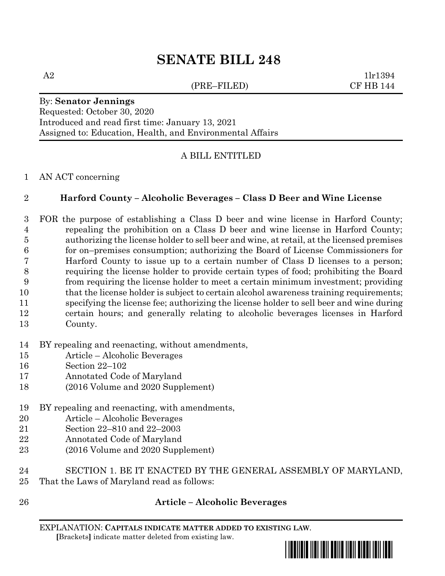# **SENATE BILL 248**

(PRE–FILED) CF HB 144

 $A2$  1lr1394

# By: **Senator Jennings**

Requested: October 30, 2020 Introduced and read first time: January 13, 2021 Assigned to: Education, Health, and Environmental Affairs

### A BILL ENTITLED

#### AN ACT concerning

#### **Harford County – Alcoholic Beverages – Class D Beer and Wine License**

- FOR the purpose of establishing a Class D beer and wine license in Harford County; repealing the prohibition on a Class D beer and wine license in Harford County; authorizing the license holder to sell beer and wine, at retail, at the licensed premises for on–premises consumption; authorizing the Board of License Commissioners for Harford County to issue up to a certain number of Class D licenses to a person; requiring the license holder to provide certain types of food; prohibiting the Board from requiring the license holder to meet a certain minimum investment; providing 10 that the license holder is subject to certain alcohol awareness training requirements; specifying the license fee; authorizing the license holder to sell beer and wine during certain hours; and generally relating to alcoholic beverages licenses in Harford County.
- BY repealing and reenacting, without amendments,
- Article Alcoholic Beverages
- Section 22–102
- Annotated Code of Maryland
- (2016 Volume and 2020 Supplement)
- BY repealing and reenacting, with amendments,
- Article Alcoholic Beverages
- Section 22–810 and 22–2003
- Annotated Code of Maryland
- (2016 Volume and 2020 Supplement)
- SECTION 1. BE IT ENACTED BY THE GENERAL ASSEMBLY OF MARYLAND, That the Laws of Maryland read as follows:
- 

#### **Article – Alcoholic Beverages**

EXPLANATION: **CAPITALS INDICATE MATTER ADDED TO EXISTING LAW**.  **[**Brackets**]** indicate matter deleted from existing law.